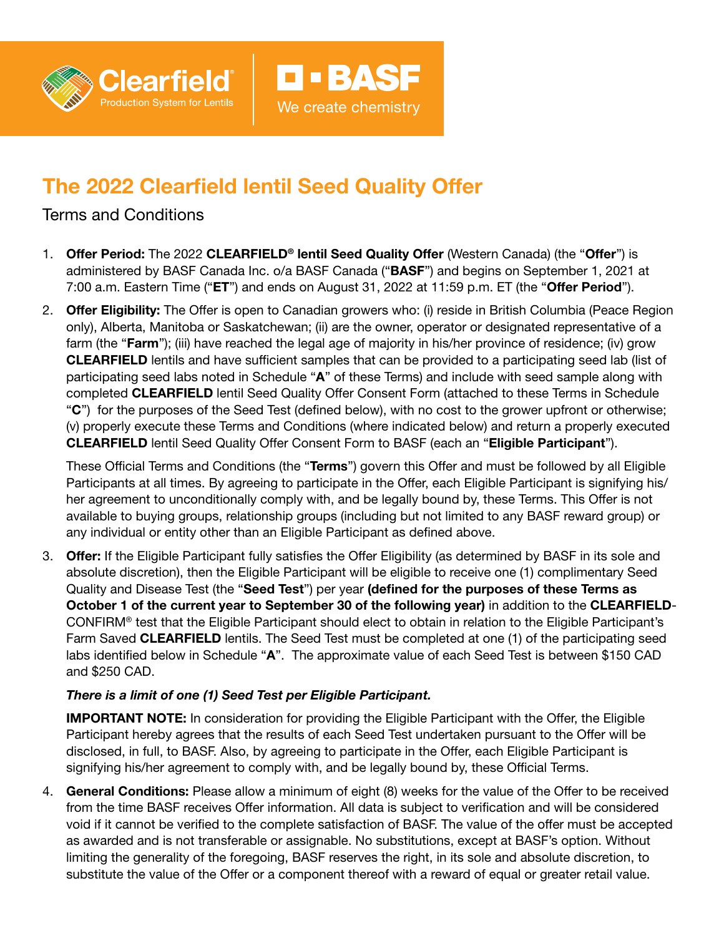

# The 2022 Clearfield lentil Seed Quality Offer

## Terms and Conditions

1. Offer Period: The 2022 CLEARFIELD<sup>®</sup> lentil Seed Quality Offer (Western Canada) (the "Offer") is administered by BASF Canada Inc. o/a BASF Canada ("BASF") and begins on September 1, 2021 at 7:00 a.m. Eastern Time (" $ET$ ") and ends on August 31, 2022 at 11:59 p.m. ET (the "Offer Period").

D - BASF

We create chemistry

2. **Offer Eligibility:** The Offer is open to Canadian growers who: (i) reside in British Columbia (Peace Region only), Alberta, Manitoba or Saskatchewan; (ii) are the owner, operator or designated representative of a farm (the "Farm"); (iii) have reached the legal age of majority in his/her province of residence; (iv) grow CLEARFIELD lentils and have sufficient samples that can be provided to a participating seed lab (list of participating seed labs noted in Schedule "A" of these Terms) and include with seed sample along with completed CLEARFIELD lentil Seed Quality Offer Consent Form (attached to these Terms in Schedule "C") for the purposes of the Seed Test (defined below), with no cost to the grower upfront or otherwise; (v) properly execute these Terms and Conditions (where indicated below) and return a properly executed CLEARFIELD lentil Seed Quality Offer Consent Form to BASF (each an "Eligible Participant").

These Official Terms and Conditions (the "Terms") govern this Offer and must be followed by all Eligible Participants at all times. By agreeing to participate in the Offer, each Eligible Participant is signifying his/ her agreement to unconditionally comply with, and be legally bound by, these Terms. This Offer is not available to buying groups, relationship groups (including but not limited to any BASF reward group) or any individual or entity other than an Eligible Participant as defined above.

3. Offer: If the Eligible Participant fully satisfies the Offer Eligibility (as determined by BASF in its sole and absolute discretion), then the Eligible Participant will be eligible to receive one (1) complimentary Seed Quality and Disease Test (the "Seed Test") per year (defined for the purposes of these Terms as October 1 of the current year to September 30 of the following year) in addition to the CLEARFIELD-CONFIRM® test that the Eligible Participant should elect to obtain in relation to the Eligible Participant's Farm Saved **CLEARFIELD** lentils. The Seed Test must be completed at one (1) of the participating seed labs identified below in Schedule "A". The approximate value of each Seed Test is between \$150 CAD and \$250 CAD.

## *There is a limit of one (1) Seed Test per Eligible Participant.*

IMPORTANT NOTE: In consideration for providing the Eligible Participant with the Offer, the Eligible Participant hereby agrees that the results of each Seed Test undertaken pursuant to the Offer will be disclosed, in full, to BASF. Also, by agreeing to participate in the Offer, each Eligible Participant is signifying his/her agreement to comply with, and be legally bound by, these Official Terms.

4. General Conditions: Please allow a minimum of eight (8) weeks for the value of the Offer to be received from the time BASF receives Offer information. All data is subject to verification and will be considered void if it cannot be verified to the complete satisfaction of BASF. The value of the offer must be accepted as awarded and is not transferable or assignable. No substitutions, except at BASF's option. Without limiting the generality of the foregoing, BASF reserves the right, in its sole and absolute discretion, to substitute the value of the Offer or a component thereof with a reward of equal or greater retail value.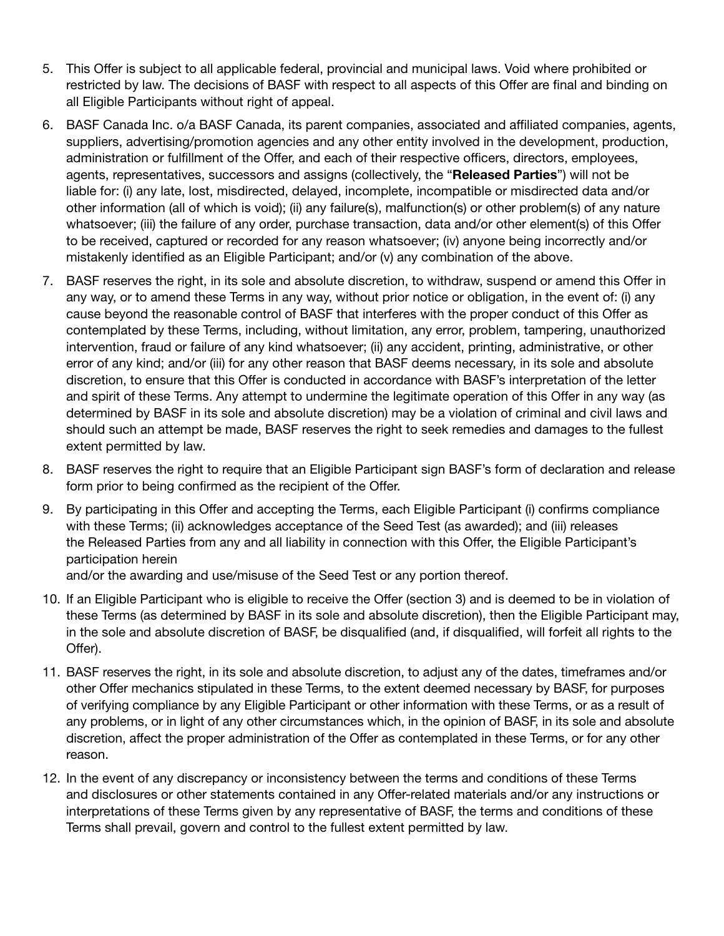- 5. This Offer is subject to all applicable federal, provincial and municipal laws. Void where prohibited or restricted by law. The decisions of BASF with respect to all aspects of this Offer are final and binding on all Eligible Participants without right of appeal.
- 6. BASF Canada Inc. o/a BASF Canada, its parent companies, associated and affiliated companies, agents, suppliers, advertising/promotion agencies and any other entity involved in the development, production, administration or fulfillment of the Offer, and each of their respective officers, directors, employees, agents, representatives, successors and assigns (collectively, the "Released Parties") will not be liable for: (i) any late, lost, misdirected, delayed, incomplete, incompatible or misdirected data and/or other information (all of which is void); (ii) any failure(s), malfunction(s) or other problem(s) of any nature whatsoever; (iii) the failure of any order, purchase transaction, data and/or other element(s) of this Offer to be received, captured or recorded for any reason whatsoever; (iv) anyone being incorrectly and/or mistakenly identified as an Eligible Participant; and/or (v) any combination of the above.
- 7. BASF reserves the right, in its sole and absolute discretion, to withdraw, suspend or amend this Offer in any way, or to amend these Terms in any way, without prior notice or obligation, in the event of: (i) any cause beyond the reasonable control of BASF that interferes with the proper conduct of this Offer as contemplated by these Terms, including, without limitation, any error, problem, tampering, unauthorized intervention, fraud or failure of any kind whatsoever; (ii) any accident, printing, administrative, or other error of any kind; and/or (iii) for any other reason that BASF deems necessary, in its sole and absolute discretion, to ensure that this Offer is conducted in accordance with BASF's interpretation of the letter and spirit of these Terms. Any attempt to undermine the legitimate operation of this Offer in any way (as determined by BASF in its sole and absolute discretion) may be a violation of criminal and civil laws and should such an attempt be made, BASF reserves the right to seek remedies and damages to the fullest extent permitted by law.
- 8. BASF reserves the right to require that an Eligible Participant sign BASF's form of declaration and release form prior to being confirmed as the recipient of the Offer.
- 9. By participating in this Offer and accepting the Terms, each Eligible Participant (i) confirms compliance with these Terms; (ii) acknowledges acceptance of the Seed Test (as awarded); and (iii) releases the Released Parties from any and all liability in connection with this Offer, the Eligible Participant's participation herein

and/or the awarding and use/misuse of the Seed Test or any portion thereof.

- 10. If an Eligible Participant who is eligible to receive the Offer (section 3) and is deemed to be in violation of these Terms (as determined by BASF in its sole and absolute discretion), then the Eligible Participant may, in the sole and absolute discretion of BASF, be disqualified (and, if disqualified, will forfeit all rights to the Offer).
- 11. BASF reserves the right, in its sole and absolute discretion, to adjust any of the dates, timeframes and/or other Offer mechanics stipulated in these Terms, to the extent deemed necessary by BASF, for purposes of verifying compliance by any Eligible Participant or other information with these Terms, or as a result of any problems, or in light of any other circumstances which, in the opinion of BASF, in its sole and absolute discretion, affect the proper administration of the Offer as contemplated in these Terms, or for any other reason.
- 12. In the event of any discrepancy or inconsistency between the terms and conditions of these Terms and disclosures or other statements contained in any Offer-related materials and/or any instructions or interpretations of these Terms given by any representative of BASF, the terms and conditions of these Terms shall prevail, govern and control to the fullest extent permitted by law.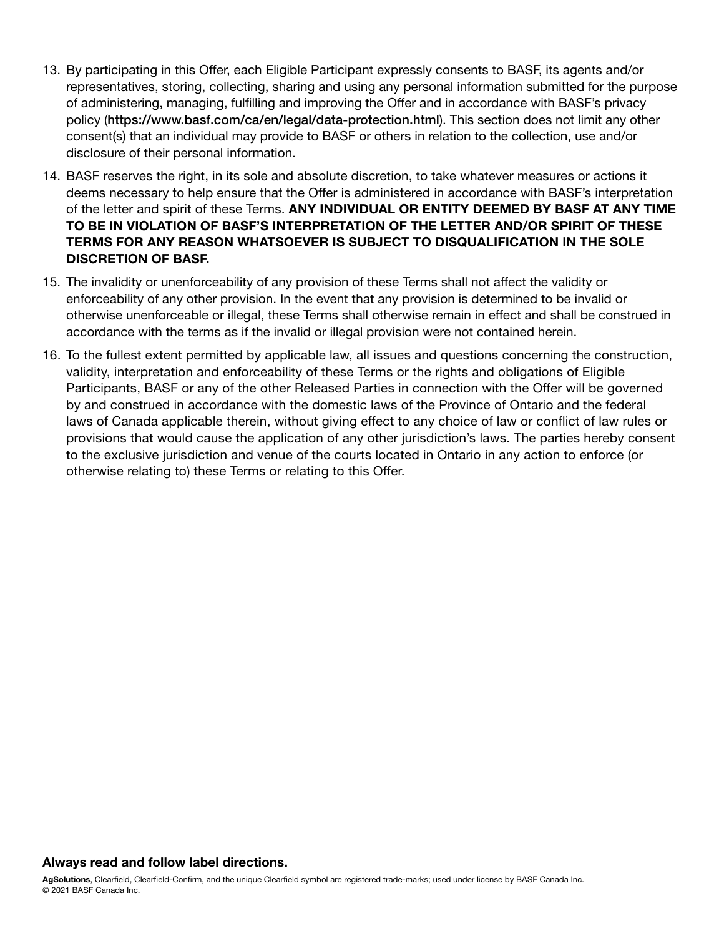- 13. By participating in this Offer, each Eligible Participant expressly consents to BASF, its agents and/or representatives, storing, collecting, sharing and using any personal information submitted for the purpose of administering, managing, fulfilling and improving the Offer and in accordance with BASF's privacy policy (https://www.basf.com/ca/en/legal/data-protection.html). This section does not limit any other consent(s) that an individual may provide to BASF or others in relation to the collection, use and/or disclosure of their personal information.
- 14. BASF reserves the right, in its sole and absolute discretion, to take whatever measures or actions it deems necessary to help ensure that the Offer is administered in accordance with BASF's interpretation of the letter and spirit of these Terms. ANY INDIVIDUAL OR ENTITY DEEMED BY BASF AT ANY TIME TO BE IN VIOLATION OF BASF'S INTERPRETATION OF THE LETTER AND/OR SPIRIT OF THESE TERMS FOR ANY REASON WHATSOEVER IS SUBJECT TO DISQUALIFICATION IN THE SOLE DISCRETION OF BASF.
- 15. The invalidity or unenforceability of any provision of these Terms shall not affect the validity or enforceability of any other provision. In the event that any provision is determined to be invalid or otherwise unenforceable or illegal, these Terms shall otherwise remain in effect and shall be construed in accordance with the terms as if the invalid or illegal provision were not contained herein.
- 16. To the fullest extent permitted by applicable law, all issues and questions concerning the construction, validity, interpretation and enforceability of these Terms or the rights and obligations of Eligible Participants, BASF or any of the other Released Parties in connection with the Offer will be governed by and construed in accordance with the domestic laws of the Province of Ontario and the federal laws of Canada applicable therein, without giving effect to any choice of law or conflict of law rules or provisions that would cause the application of any other jurisdiction's laws. The parties hereby consent to the exclusive jurisdiction and venue of the courts located in Ontario in any action to enforce (or otherwise relating to) these Terms or relating to this Offer.

## Always read and follow label directions.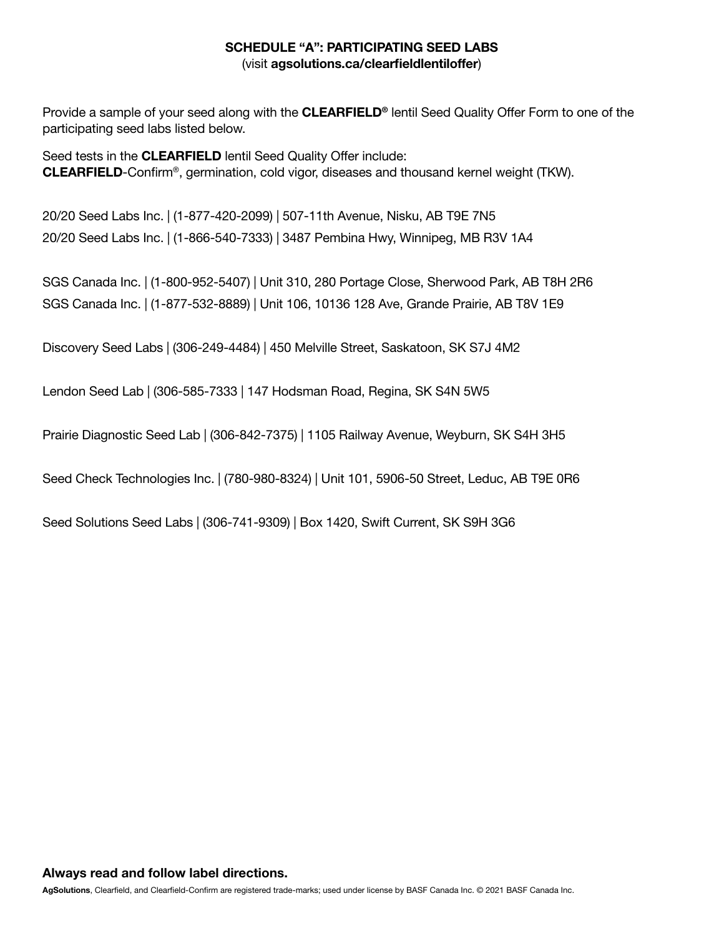## SCHEDULE "A": PARTICIPATING SEED LABS (visit agsolutions.ca/clearfieldlentiloffer)

Provide a sample of your seed along with the **CLEARFIELD®** lentil Seed Quality Offer Form to one of the participating seed labs listed below.

Seed tests in the **CLEARFIELD** lentil Seed Quality Offer include: CLEARFIELD-Confirm®, germination, cold vigor, diseases and thousand kernel weight (TKW).

20/20 Seed Labs Inc. | (1-877-420-2099) | 507-11th Avenue, Nisku, AB T9E 7N5 20/20 Seed Labs Inc. | (1-866-540-7333) | 3487 Pembina Hwy, Winnipeg, MB R3V 1A4

SGS Canada Inc. | (1-800-952-5407) | Unit 310, 280 Portage Close, Sherwood Park, AB T8H 2R6 SGS Canada Inc. | (1-877-532-8889) | Unit 106, 10136 128 Ave, Grande Prairie, AB T8V 1E9

Discovery Seed Labs | (306-249-4484) | 450 Melville Street, Saskatoon, SK S7J 4M2

Lendon Seed Lab | (306-585-7333 | 147 Hodsman Road, Regina, SK S4N 5W5

Prairie Diagnostic Seed Lab | (306-842-7375) | 1105 Railway Avenue, Weyburn, SK S4H 3H5

Seed Check Technologies Inc. | (780-980-8324) | Unit 101, 5906-50 Street, Leduc, AB T9E 0R6

Seed Solutions Seed Labs | (306-741-9309) | Box 1420, Swift Current, SK S9H 3G6

AgSolutions, Clearfield, and Clearfield-Confirm are registered trade-marks; used under license by BASF Canada Inc. © 2021 BASF Canada Inc.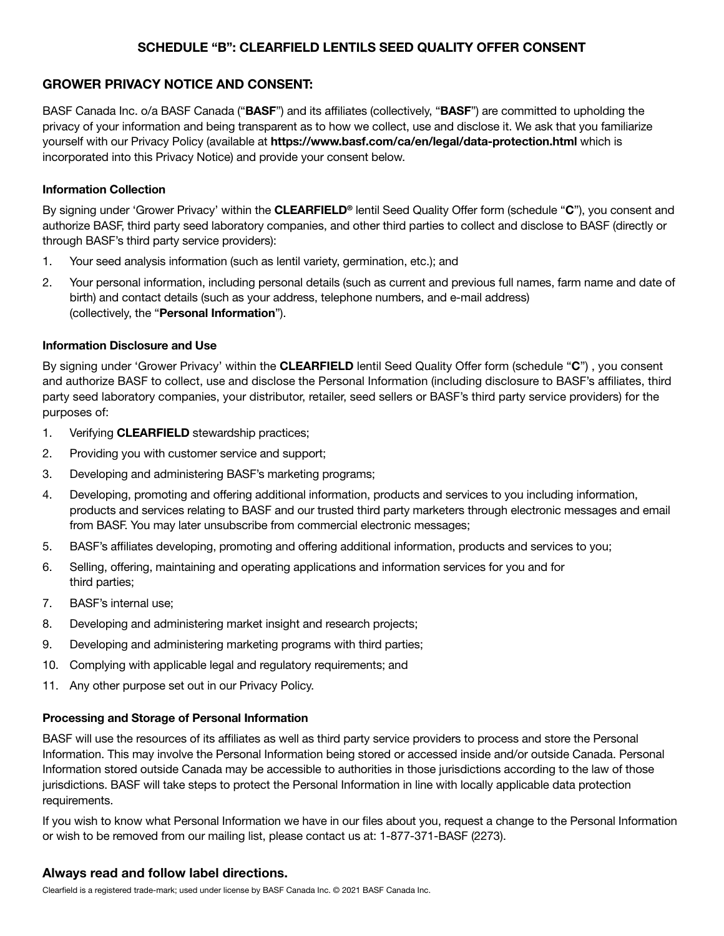## SCHEDULE "B": CLEARFIELD LENTILS SEED QUALITY OFFER CONSENT

#### GROWER PRIVACY NOTICE AND CONSENT:

BASF Canada Inc. o/a BASF Canada ("BASF") and its affiliates (collectively, "BASF") are committed to upholding the privacy of your information and being transparent as to how we collect, use and disclose it. We ask that you familiarize yourself with our Privacy Policy (available at https://www.basf.com/ca/en/legal/data-protection.html which is incorporated into this Privacy Notice) and provide your consent below.

#### Information Collection

By signing under 'Grower Privacy' within the CLEARFIELD<sup>®</sup> lentil Seed Quality Offer form (schedule "C"), you consent and authorize BASF, third party seed laboratory companies, and other third parties to collect and disclose to BASF (directly or through BASF's third party service providers):

- 1. Your seed analysis information (such as lentil variety, germination, etc.); and
- 2. Your personal information, including personal details (such as current and previous full names, farm name and date of birth) and contact details (such as your address, telephone numbers, and e-mail address) (collectively, the "Personal Information").

#### Information Disclosure and Use

By signing under 'Grower Privacy' within the CLEARFIELD lentil Seed Quality Offer form (schedule "C"), you consent and authorize BASF to collect, use and disclose the Personal Information (including disclosure to BASF's affiliates, third party seed laboratory companies, your distributor, retailer, seed sellers or BASF's third party service providers) for the purposes of:

- 1. Verifying **CLEARFIELD** stewardship practices;
- 2. Providing you with customer service and support;
- 3. Developing and administering BASF's marketing programs;
- 4. Developing, promoting and offering additional information, products and services to you including information, products and services relating to BASF and our trusted third party marketers through electronic messages and email from BASF. You may later unsubscribe from commercial electronic messages;
- 5. BASF's affiliates developing, promoting and offering additional information, products and services to you;
- 6. Selling, offering, maintaining and operating applications and information services for you and for third parties;
- 7. BASF's internal use;
- 8. Developing and administering market insight and research projects;
- 9. Developing and administering marketing programs with third parties;
- 10. Complying with applicable legal and regulatory requirements; and
- 11. Any other purpose set out in our Privacy Policy.

#### Processing and Storage of Personal Information

BASF will use the resources of its affiliates as well as third party service providers to process and store the Personal Information. This may involve the Personal Information being stored or accessed inside and/or outside Canada. Personal Information stored outside Canada may be accessible to authorities in those jurisdictions according to the law of those jurisdictions. BASF will take steps to protect the Personal Information in line with locally applicable data protection requirements.

If you wish to know what Personal Information we have in our files about you, request a change to the Personal Information or wish to be removed from our mailing list, please contact us at: 1-877-371-BASF (2273).

#### Always read and follow label directions.

Clearfield is a registered trade-mark; used under license by BASF Canada Inc. © 2021 BASF Canada Inc.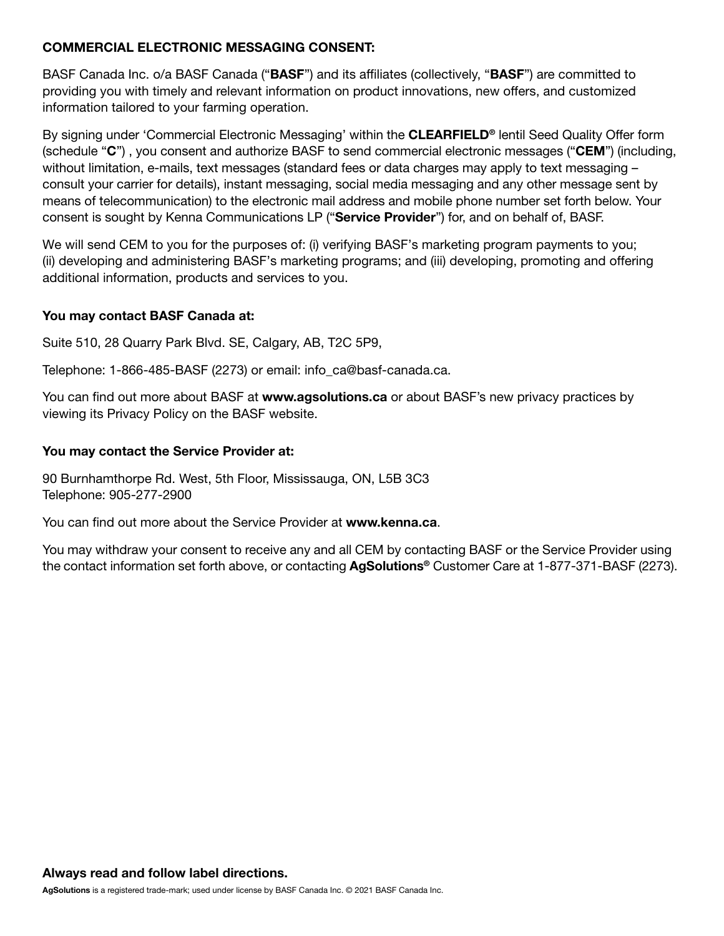## COMMERCIAL ELECTRONIC MESSAGING CONSENT:

BASF Canada Inc. o/a BASF Canada ("BASF") and its affiliates (collectively, "BASF") are committed to providing you with timely and relevant information on product innovations, new offers, and customized information tailored to your farming operation.

By signing under 'Commercial Electronic Messaging' within the **CLEARFIELD<sup>®</sup>** lentil Seed Quality Offer form (schedule "C") , you consent and authorize BASF to send commercial electronic messages ("CEM") (including, without limitation, e-mails, text messages (standard fees or data charges may apply to text messaging – consult your carrier for details), instant messaging, social media messaging and any other message sent by means of telecommunication) to the electronic mail address and mobile phone number set forth below. Your consent is sought by Kenna Communications LP ("Service Provider") for, and on behalf of, BASF.

We will send CEM to you for the purposes of: (i) verifying BASF's marketing program payments to you; (ii) developing and administering BASF's marketing programs; and (iii) developing, promoting and offering additional information, products and services to you.

## You may contact BASF Canada at:

Suite 510, 28 Quarry Park Blvd. SE, Calgary, AB, T2C 5P9,

Telephone: 1-866-485-BASF (2273) or email: info\_ca@basf-canada.ca.

You can find out more about BASF at www.agsolutions.ca or about BASF's new privacy practices by viewing its Privacy Policy on the BASF website.

## You may contact the Service Provider at:

90 Burnhamthorpe Rd. West, 5th Floor, Mississauga, ON, L5B 3C3 Telephone: 905-277-2900

You can find out more about the Service Provider at www.kenna.ca.

You may withdraw your consent to receive any and all CEM by contacting BASF or the Service Provider using the contact information set forth above, or contacting **AgSolutions<sup>®</sup>** Customer Care at 1-877-371-BASF (2273).